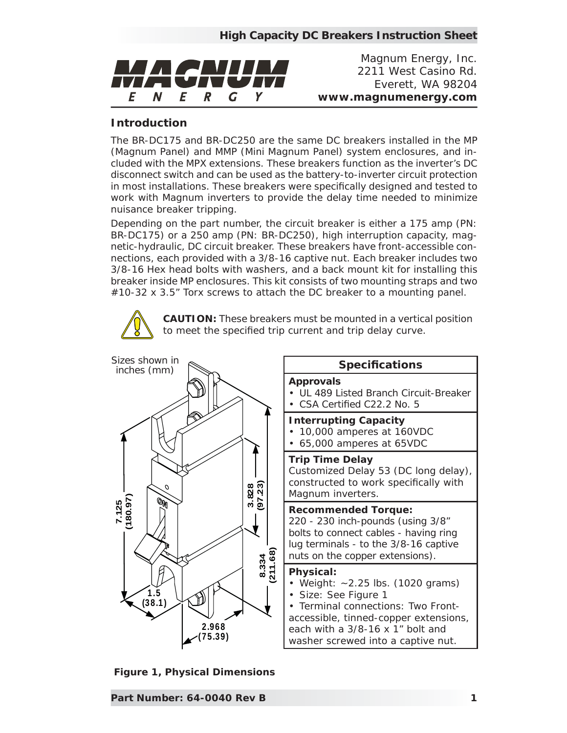

*Magnum Energy, Inc. 2211 West Casino Rd. Everett, WA 98204 www.magnumenergy.com*

## **Introduction**

The BR-DC175 and BR-DC250 are the same DC breakers installed in the MP (Magnum Panel) and MMP (Mini Magnum Panel) system enclosures, and included with the MPX extensions. These breakers function as the inverter's DC disconnect switch and can be used as the battery-to-inverter circuit protection in most installations. These breakers were specifically designed and tested to work with Magnum inverters to provide the delay time needed to minimize nuisance breaker tripping.

Depending on the part number, the circuit breaker is either a 175 amp (PN: BR-DC175) or a 250 amp (PN: BR-DC250), high interruption capacity, magnetic-hydraulic, DC circuit breaker. These breakers have front-accessible connections, each provided with a 3/8-16 captive nut. Each breaker includes two 3/8-16 Hex head bolts with washers, and a back mount kit for installing this breaker inside MP enclosures. This kit consists of two mounting straps and two #10-32 x 3.5" Torx screws to attach the DC breaker to a mounting panel.

> **CAUTION:** These breakers must be mounted in a vertical position to meet the specified trip current and trip delay curve.